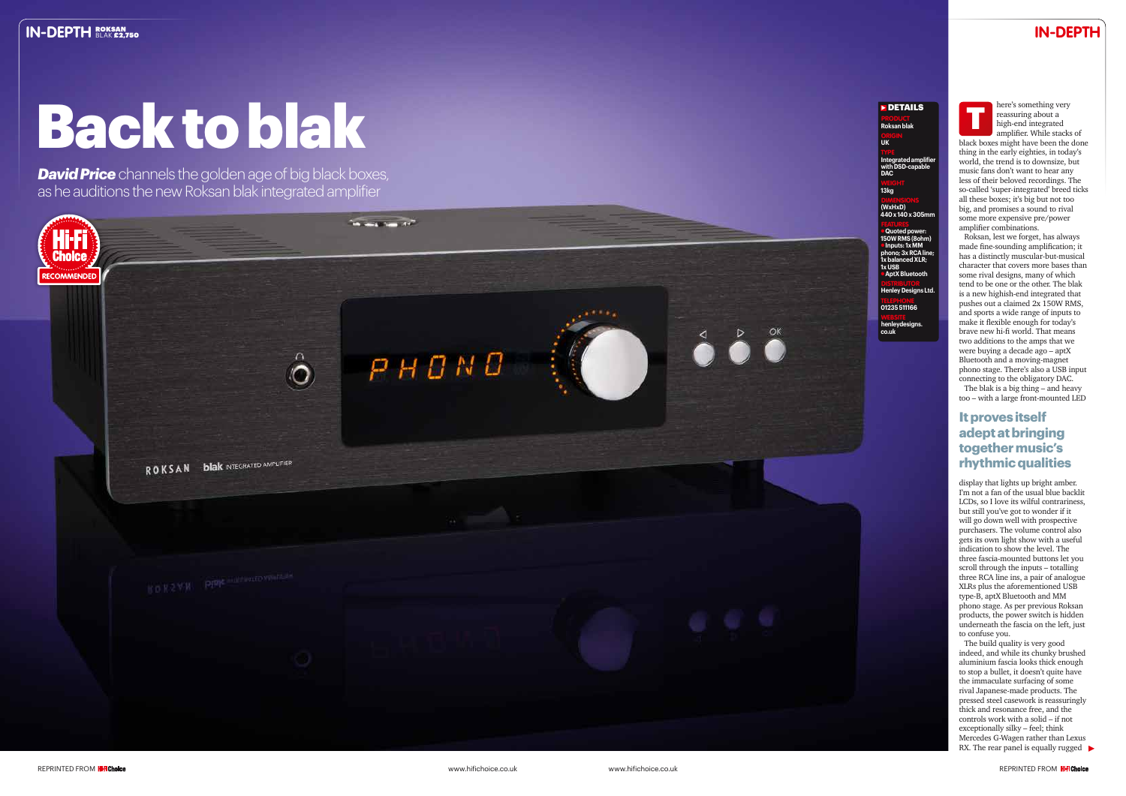# **IN-DEPTH**

### **DETAILS**

PRODUCT **Roksan blak** 

# ORIGIN **UK**

**Integrated amplifier with DSD-capable DAC**

WEIGHT **13kg**

DIMENSIONS **(WxHxD) 440 x 140 x 305mm**

FEATURES l **Quoted power: 150W RMS (8ohm)** l **Inputs: 1x MM phono; 3x RCA line; 1x balanced XLR; 1x USB** l **AptX Bluetooth**

DISTRIBUTOR **Henley Designs Ltd.**

TELEPHONE **01235 511166**

WEBSITE **henleydesigns. co.uk**



# Back to blak

*David Price* channels the golden age of big black boxes, as he auditions the new Roksan blak integrated amplifier



here's something very reassuring about a high-end integrated amplifier. While stacks of

display that lights up bright amber. I'm not a fan of the usual blue backlit LCDs, so I love its wilful contrariness, but still you've got to wonder if it will go down well with prospective purchasers. The volume control also gets its own light show with a useful indication to show the level. The three fascia-mounted buttons let you scroll through the inputs – totalling three RCA line ins, a pair of analogue XLRs plus the aforementioned USB type-B, aptX Bluetooth and MM phono stage. As per previous Roksan products, the power switch is hidden underneath the fascia on the left, just to confuse you. reassuring very<br>
reassuring about a<br>
magned to a digh-end integrated<br>
maplifier. While stacks of<br>
maplifier. While stacks of<br>
mold) the terarbige is to downstize, but<br>
music fans don't want to hear any<br>
less of their belov

black boxes might have been the done thing in the early eighties, in today's world, the trend is to downsize, but music fans don't want to hear any less of their beloved recordings. The so-called 'super-integrated' breed ticks all these boxes; it's big but not too big, and promises a sound to rival some more expensive pre/power amplifier combinations.

The build quality is very good indeed, and while its chunky brushed aluminium fascia looks thick enough to stop a bullet, it doesn't quite have the immaculate surfacing of some rival Japanese-made products. The pressed steel casework is reassuringly thick and resonance free, and the controls work with a solid – if not exceptionally silky – feel; think Mercedes G-Wagen rather than Lexus RX. The rear panel is equally rugged  $\blacktriangleright$ 

Roksan, lest we forget, has always made fine-sounding amplification; it has a distinctly muscular-but-musical character that covers more bases than some rival designs, many of which tend to be one or the other. The blak is a new highish-end integrated that pushes out a claimed 2x 150W RMS, and sports a wide range of inputs to make it flexible enough for today's brave new hi-fi world. That means two additions to the amps that we were buying a decade ago – aptX Bluetooth and a moving-magnet phono stage. There's also a USB input connecting to the obligatory DAC.

The blak is a big thing – and heavy too – with a large front-mounted LED

### **It proves itself adept at bringing together music's rhythmic qualities**